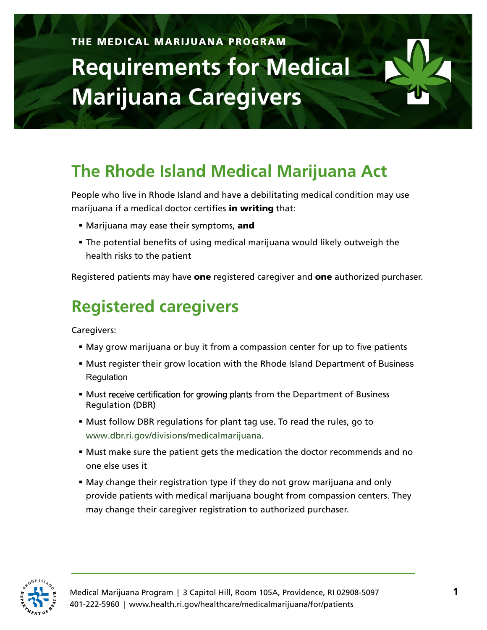## THE MEDICAL MARIJUANA PROGRAM **Requirements for Medical Marijuana Caregivers**

## **The Rhode Island Medical Marijuana Act**

People who live in Rhode Island and have a debilitating medical condition may use marijuana if a medical doctor certifies in writing that:

- Marijuana may ease their symptoms, and
- The potential benefits of using medical marijuana would likely outweigh the health risks to the patient

Registered patients may have one registered caregiver and one authorized purchaser.

## **Registered caregivers**

Caregivers:

- May grow marijuana or buy it from a compassion center for up to five patients
- Must register their grow location with the Rhode Island Department of Business **Requlation**
- Must receive certification for growing plants from the Department of Business Regulation (DBR)
- Must follow DBR regulations for plant tag use. To read the rules, go to [www.dbr.ri.gov/divisions/medicalmarijuana.](http://www.dbr.ri.gov/divisions/medicalmarijuana)
- Must make sure the patient gets the medication the doctor recommends and no one else uses it
- May change their registration type if they do not grow marijuana and only provide patients with medical marijuana bought from compassion centers. They may change their caregiver registration to authorized purchaser.